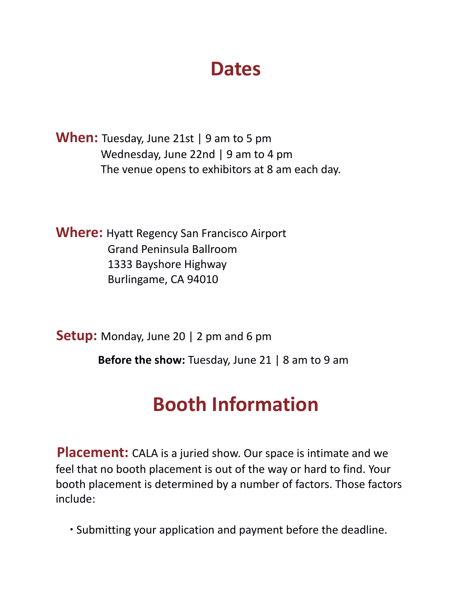### **Dates**

**When:** Tuesday, June 21st | 9 am to 5 pm Wednesday, June 22nd | 9 am to 4 pm The venue opens to exhibitors at 8 am each day.

**Where:** Hyatt Regency San Francisco Airport Grand Peninsula Ballroom 1333 Bayshore Highway Burlingame, CA 94010

**Setup:** Monday, June 20 | 2 pm and 6 pm

**Before the show:** Tuesday, June 21 | 8 am to 9 am

## **Booth Information**

**Placement:** CALA is a juried show. Our space is intimate and we feel that no booth placement is out of the way or hard to find. Your booth placement is determined by a number of factors. Those factors include:

∙ Submitting your application and payment before the deadline.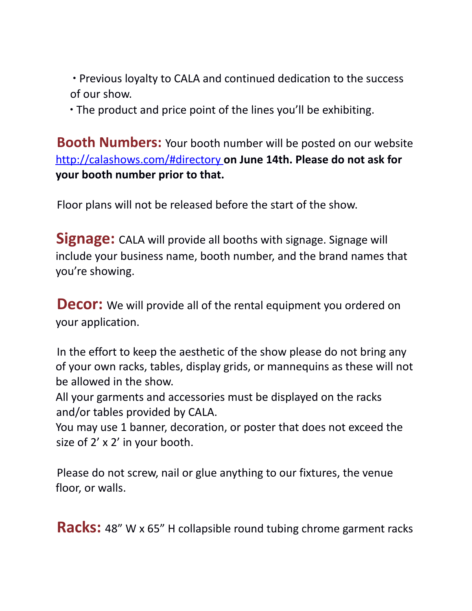∙ Previous loyalty to CALA and continued dedication to the success of our show.

∙ The product and price point of the lines you'll be exhibiting.

**Booth Numbers:** Your booth number will be posted on our website http://calashows.com/#directory **on June 14th. Please do not ask for your booth number prior to that.**

Floor plans will not be released before the start of the show.

**Signage:** CALA will provide all booths with signage. Signage will include your business name, booth number, and the brand names that you're showing.

**Decor:** We will provide all of the rental equipment you ordered on your application.

In the effort to keep the aesthetic of the show please do not bring any of your own racks, tables, display grids, or mannequins as these will not be allowed in the show.

All your garments and accessories must be displayed on the racks and/or tables provided by CALA.

You may use 1 banner, decoration, or poster that does not exceed the size of 2' x 2' in your booth.

Please do not screw, nail or glue anything to our fixtures, the venue floor, or walls.

**Racks:** 48" W x 65" H collapsible round tubing chrome garment racks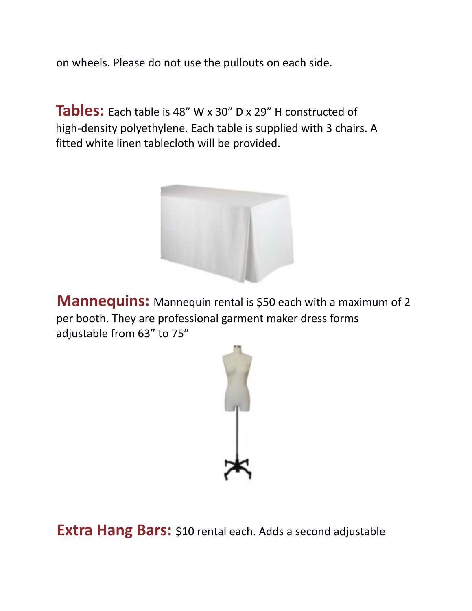on wheels. Please do not use the pullouts on each side.

**Tables:** Each table is 48" W x 30" D x 29" H constructed of high-density polyethylene. Each table is supplied with 3 chairs. A fitted white linen tablecloth will be provided.



**Mannequins:** Mannequin rental is \$50 each with a maximum of 2 per booth. They are professional garment maker dress forms adjustable from 63" to 75"



**Extra Hang Bars:** \$10 rental each. Adds a second adjustable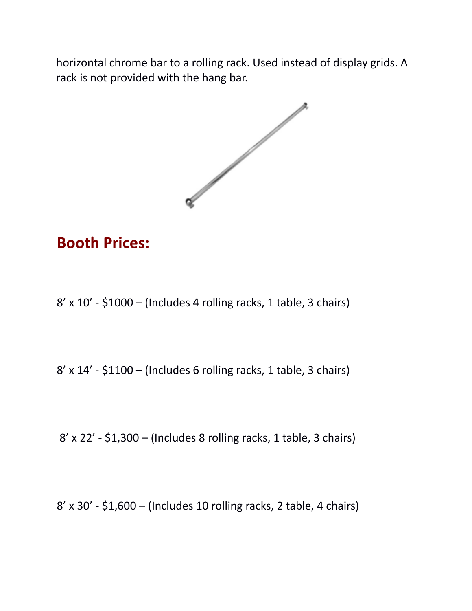horizontal chrome bar to a rolling rack. Used instead of display grids. A rack is not provided with the hang bar.



### **Booth Prices:**

8' x 10' - \$1000 – (Includes 4 rolling racks, 1 table, 3 chairs)

8' x 14' - \$1100 – (Includes 6 rolling racks, 1 table, 3 chairs)

8' x 22' - \$1,300 – (Includes 8 rolling racks, 1 table, 3 chairs)

8' x 30' - \$1,600 – (Includes 10 rolling racks, 2 table, 4 chairs)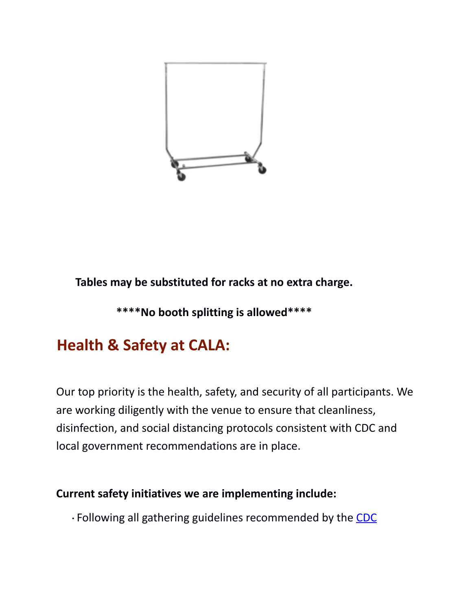

**Tables may be substituted for racks at no extra charge.**

**\*\*\*\*No booth splitting is allowed\*\*\*\***

### **Health & Safety at CALA:**

Our top priority is the health, safety, and security of all participants. We are working diligently with the venue to ensure that cleanliness, disinfection, and social distancing protocols consistent with CDC and local government recommendations are in place.

#### **Current safety initiatives we are implementing include:**

<sup>∙</sup> Following all gathering guidelines recommended by the CDC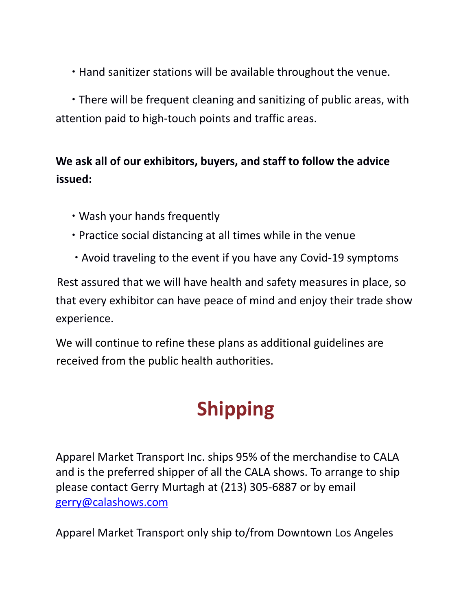∙ Hand sanitizer stations will be available throughout the venue.

∙ There will be frequent cleaning and sanitizing of public areas, with attention paid to high-touch points and traffic areas.

#### **We ask all of our exhibitors, buyers, and staff to follow the advice issued:**

- ∙ Wash your hands frequently
- ∙ Practice social distancing at all times while in the venue
- ∙ Avoid traveling to the event if you have any Covid-19 symptoms

Rest assured that we will have health and safety measures in place, so that every exhibitor can have peace of mind and enjoy their trade show experience.

We will continue to refine these plans as additional guidelines are received from the public health authorities.

# **Shipping**

Apparel Market Transport Inc. ships 95% of the merchandise to CALA and is the preferred shipper of all the CALA shows. To arrange to ship please contact Gerry Murtagh at (213) 305-6887 or by email gerry@calashows.com

Apparel Market Transport only ship to/from Downtown Los Angeles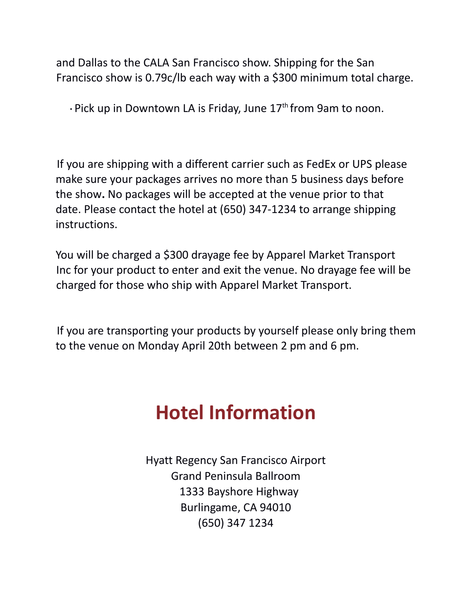and Dallas to the CALA San Francisco show. Shipping for the San Francisco show is 0.79c/lb each way with a \$300 minimum total charge.

∙ Pick up in Downtown LA is Friday, June 17<sup>th</sup> from 9am to noon.

If you are shipping with a different carrier such as FedEx or UPS please make sure your packages arrives no more than 5 business days before the show**.** No packages will be accepted at the venue prior to that date. Please contact the hotel at (650) 347-1234 to arrange shipping instructions.

You will be charged a \$300 drayage fee by Apparel Market Transport Inc for your product to enter and exit the venue. No drayage fee will be charged for those who ship with Apparel Market Transport.

If you are transporting your products by yourself please only bring them to the venue on Monday April 20th between 2 pm and 6 pm.

## **Hotel Information**

Hyatt Regency San Francisco Airport Grand Peninsula Ballroom 1333 Bayshore Highway Burlingame, CA 94010 (650) 347 1234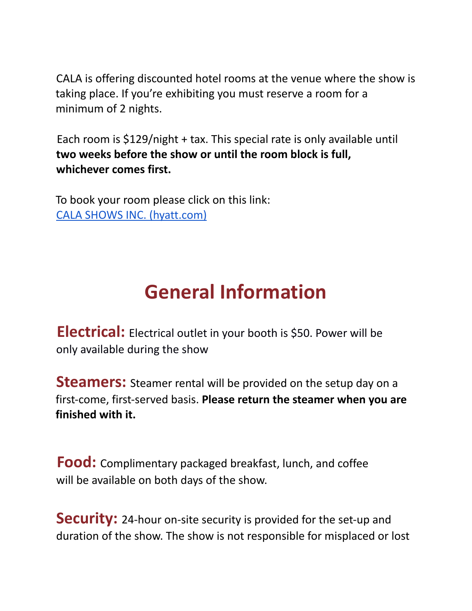CALA is offering discounted hotel rooms at the venue where the show is taking place. If you're exhibiting you must reserve a room for a minimum of 2 nights.

Each room is \$129/night + tax. This special rate is only available until **two weeks before the show or until the room block is full, whichever comes first.**

To book your room please click on this link: CALA SHOWS INC. [\(hyatt.com\)](https://www.hyatt.com/en-US/group-booking/SFOBU/G-CLS1)

## **General Information**

**Electrical:** Electrical outlet in your booth is \$50. Power will be only available during the show

**Steamers:** Steamer rental will be provided on the setup day on a first-come, first-served basis. **Please return the steamer when you are finished with it.**

**Food:** Complimentary packaged breakfast, lunch, and coffee will be available on both days of the show.

**Security:** 24-hour on-site security is provided for the set-up and duration of the show. The show is not responsible for misplaced or lost